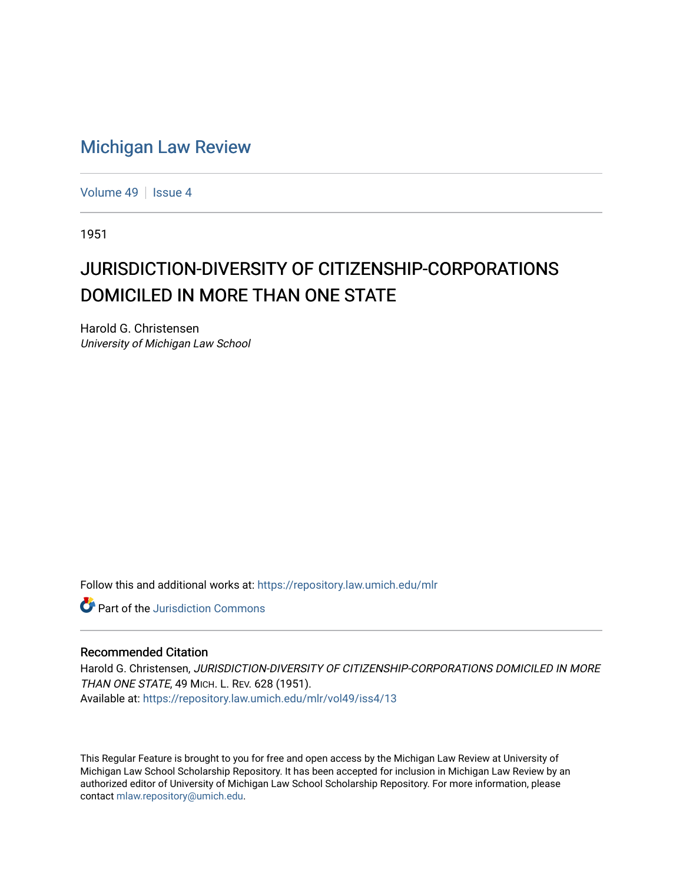## [Michigan Law Review](https://repository.law.umich.edu/mlr)

[Volume 49](https://repository.law.umich.edu/mlr/vol49) | [Issue 4](https://repository.law.umich.edu/mlr/vol49/iss4)

1951

## JURISDICTION-DIVERSITY OF CITIZENSHIP-CORPORATIONS DOMICILED IN MORE THAN ONE STATE

Harold G. Christensen University of Michigan Law School

Follow this and additional works at: [https://repository.law.umich.edu/mlr](https://repository.law.umich.edu/mlr?utm_source=repository.law.umich.edu%2Fmlr%2Fvol49%2Fiss4%2F13&utm_medium=PDF&utm_campaign=PDFCoverPages) 

**C** Part of the Jurisdiction Commons

## Recommended Citation

Harold G. Christensen, JURISDICTION-DIVERSITY OF CITIZENSHIP-CORPORATIONS DOMICILED IN MORE THAN ONE STATE, 49 MICH. L. REV. 628 (1951). Available at: [https://repository.law.umich.edu/mlr/vol49/iss4/13](https://repository.law.umich.edu/mlr/vol49/iss4/13?utm_source=repository.law.umich.edu%2Fmlr%2Fvol49%2Fiss4%2F13&utm_medium=PDF&utm_campaign=PDFCoverPages) 

This Regular Feature is brought to you for free and open access by the Michigan Law Review at University of Michigan Law School Scholarship Repository. It has been accepted for inclusion in Michigan Law Review by an authorized editor of University of Michigan Law School Scholarship Repository. For more information, please contact [mlaw.repository@umich.edu](mailto:mlaw.repository@umich.edu).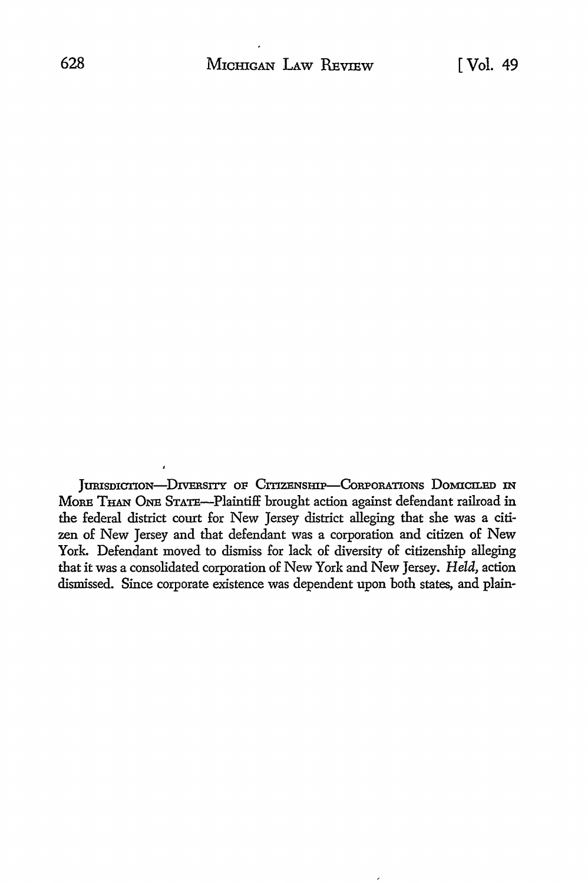JURISDICTION-DIVERSITY OF CITIZENSHIP-CORPORATIONS DOMICILED IN MoRE THAN ONE STATE-Plaintiff brought action against defendant railroad in the federal district court for New Jersey district alleging that she was a citizen of New Jersey and that defendant was a corporation and citizen of New York. Defendant moved to dismiss for lack of diversity of citizenship alleging that it was a consolidated corporation of New York and New Jersey. *Held,* action dismissed. Since corporate existence was dependent upon both states, and plain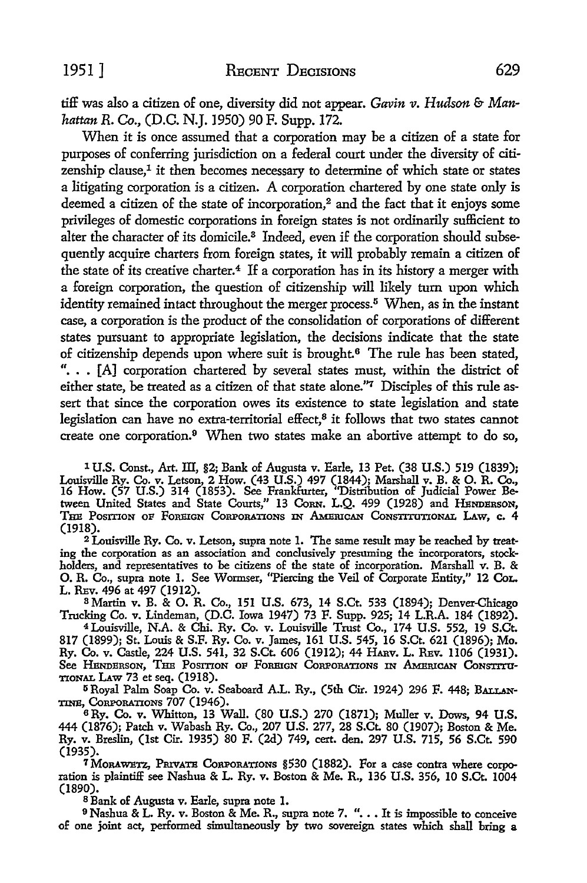tiff was also a citizen of one, diversity did not appear. *Gavin v. Hudson* & *Manhattan R.* Co., (D.C. N.J.1950) 90 F. Supp. 172.

When it is once assumed that a corporation may be a citizen of a state for purposes of conferring jurisdiction on a federal court under the diversity of citizenship clause,<sup>1</sup> it then becomes necessary to determine of which state or states a litigating corporation is a citizen. A corporation chartered by one state only is deemed a citizen of the state of incorporation,<sup>2</sup> and the fact that it enjoys some privileges of domestic corporations in foreign states is not ordinarily sufficient to alter the character of its domicile.<sup>3</sup> Indeed, even if the corporation should subsequently acquire charters from foreign states, it will probably remain a citizen of the state of its creative charter.<sup>4</sup> If a corporation has in its history a merger with a foreign corporation, the question of citizenship will likely tum upon which identity remained intact throughout the merger process.<sup>5</sup> When, as in the instant case, a corporation is the product of the consolidation of corporations of different states pursuant to appropriate legislation, the decisions indicate that the state of citizenship depends upon where suit is brought.<sup>6</sup> The rule has been stated, "... [A] corporation chartered by several states must, within the district of either state, be treated as a citizen of that state alone." $7$  Disciples of this rule assert that since the corporation owes its existence to state legislation and state legislation can have no extra-territorial effect, $<sup>8</sup>$  it follows that two states cannot</sup> create one corporation.<sup>9</sup> When two states make an abortive attempt to do so,

1 U.S. Const., Art. ID, §2; Bank of Augusta v. Earle. 13 Pet. (38 U.S.) 519 (1839); Louisville Ry. Co. v. Letson, 2 How. (43 U.S.) 497 (1844); Marshall v. B. & 0. R. Co., 16 How. (57 U.S.) 314 (1853). See Frankfurter, "Distribution of Judicial Power Between United States and State Courts," 13 Corn. L.Q. 499 (1928) and HENDERSON, THE POSITION OF FOREIGN CORPORATIONS IN AMERICAN CONSTITUTIONAL LAW, c. 4 (1918).

2 Louisville Ry. Co. v. Letson, supra note 1. The same result may be reached by treating the corporation as an association and conclusively presuming the incorporators, stockholders, and representatives to be citizens of the state of incorporation. Marshall v. B. & 0. R. *Co.,* supra note 1. See Wormser, "Piercing the Veil of Corporate Entity," 12 CoL. L. REv. 496 at 497 (1912).<br><sup>8</sup> Martin v. B. & O. R. Co., 151 U.S. 673, 14 S.Ct. 533 (1894); Denver-Chicago

Trucking Co. v. Lindeman, (D.C. Iowa 1947) 73 F. Supp. 925; 14 L.R.A. 184 (1892).

4Louisville, N.A. & Chi. Ry. Co. v. Louisville Trust Co., 174 U.S. 552, 19 S.Ct. 817 (1899); St. Louis & S.F. Ry. Co. v. James, 161 U.S. 545, 16 S.Ct. 621 (1896); Mo. Ry. Co. v. Castle, 224 U.S. 541, 32 S.Ct. 606 (1912); 44 HARv. L. REv. 1106 (1931). See Henderson, The Position of Foreign Corporations in American Constitu-TIONAL I.Aw 73 et seq. (1918).

5 Royal Palm Soap Co. v. Seaboard A.L. Ry., (5th Cir. 1924) 296 F. 448; BALLAN-TINE, CoRPORATIONS 707 (1946),

<sup>6</sup>Ry. Co. v. Whitton, 13 Wall. (80 U.S.) 270 (1871); Muller v. Dows, 94 **U.S.**  444 (1876); Patch v. Wabash Ry. Co., 207 U.S. 277, 28 S.Ct. 80 (1907); Boston & Me. Ry. v. Breslin, (1st Cir. 1935) 80 F. (2d) 749, cert. den. 297 U.S. 715, 56 S.Ct. 590 (1935).

7 MoRAWETZ, PmvATE CoRPORATIONs §530 (1882). For a case contra where corporation is plaintiff see Nashua & L. Ry. v. Boston & Me. R., 136 U.S. 356, 10 S.Ct. 1004 (1890).

8 Bank of Augusta v. Earle, supra note 1.

<sup>9</sup> Nashua & L. Ry. v. Boston & Me. R., supra note 7. ". . . It is impossible to conceive of one joint act, performed simultaneously by two sovereign states which shall bring a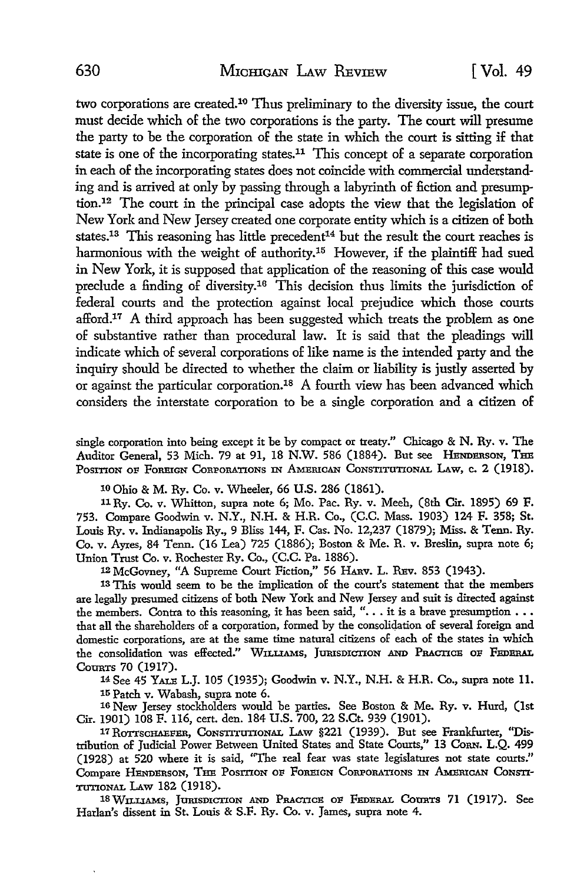two corporations are created.10 Thus preliminary to the diversity issue, the court must decide which of the two corporations is the party. The court will presume the party to be the corporation of the state in which the court is sitting if that state is one of the incorporating states.11 This concept of a separate corporation in each of the incorporating states does not coincide with commercial understanding and is arrived at only by passing through a labyrinth of fiction and presumption.12 The court in the principal case adopts the view that the legislation of New York and New Jersey created one corporate entity which is a citizen of both states.<sup>13</sup> This reasoning has little precedent<sup>14</sup> but the result the court reaches is harmonious with the weight of authority.15 However, if the plaintiff had sued in New York, it is supposed that application of the reasoning of this case would preclude a finding of diversity.16 This decision thus limits the jurisdiction of federal courts and the protection against local prejudice which those courts afford.<sup>17</sup> A third approach has been suggested which treats the problem as one of substantive rather than procedural law. It is said that the pleadings will indicate which of several corporations of like name is the intended party and the inquiry should be directed to whether the claim or liability is justly asserted by or against the particular corporation.18 A fourth view has been advanced which considers the interstate corporation to be a single corporation and a citizen of

single corporation into being except it be by compact or treaty." Chicago & N. Ry. v. The Auditor General, 53 Mich. 79 at 91, 18 N.W. 586 (1884). But see HENDERSON, THE POSITION OF FOREIGN CORPORATIONS IN AMERICAN CONSTITUTIONAL LAW, c. 2 (1918).

10 Ohio & M. Ry. Co. v. Wheeler, 66 U.S. 286 (1861).

11 Ry. Co. v. Whitton, supra note 6; Mo. Pac. Ry. v. Meeh, (8th Cir. 1895) 69 F. 753. Compare Goodwin v. N.Y., N.H. & H.R. Co., (C.C. Mass. 1903) 124 F. 358; St. Louis Ry. v. Indianapolis Ry., 9 Bliss 144, F. Cas. No. 12,237 (1879); Miss. & Tenn. Ry. Co. v. Ayres, 84 Tenn. (16 Lea) 725 (1886); Boston & Me. R. v. Breslin, supra note 6; Union Trust Co. v. Rochester Ry. Co., (C.C. Pa. 1886).

<sup>12</sup> McGovney, "A Supreme Court Fiction," 56 HARV. L. REV. 853 (1943).

13 This would seem to be the implication of the court's statement that the members are legally presumed citizens of both New York and New Jersey and suit is directed against the members. Contra to this reasoning, it has been said, "... it is a brave presumption ... that all the shareholders of a corporation, formed by the consoliqation of several foreign and domestic corporations, are at the same time natural citizens of each of the states in which the consolidation was effected." WILLIAMS, JURISDICTION AND PRACTICE OF FEDERAL Courrs 70 (1917).

14 See 45 YALE L.J. 105 (1935); Goodwin v. N.Y., N.H. & H.R. Co., supra note 11. 15 Patch v. Wabash, supra note 6.

16 New Jersey stockholders would be parties. See Boston & Me. Ry. v. Hurd, (1st Cir. 1901) 108 F. 116, cert. den. 184 U.S. 700, 22 S.Ct. 939 (1901).

17 ROTTSCHAEFER, CONSTITUTIONAL LAW §221 (1939). But see Frankfurter, "Distribution of Judicial Power Between United States and State Courts," 13 CoRN. L.Q. 499 (1928) at 520 where it is said, "The real fear was state legislatures not state courts." Compare HENDERSON, THE POSITION OF FOREIGN CORPORATIONS IN AMERICAN CONSTI-TUTIONAL *UW* 182 (1918).

lSWILLIAMS, JURISDICTION AND PRACTICE OF FEDERAL CotmTS 71 (1917). See Harlan's dissent in St. Louis & S.F. Ry. Co. v. James, supra note 4.